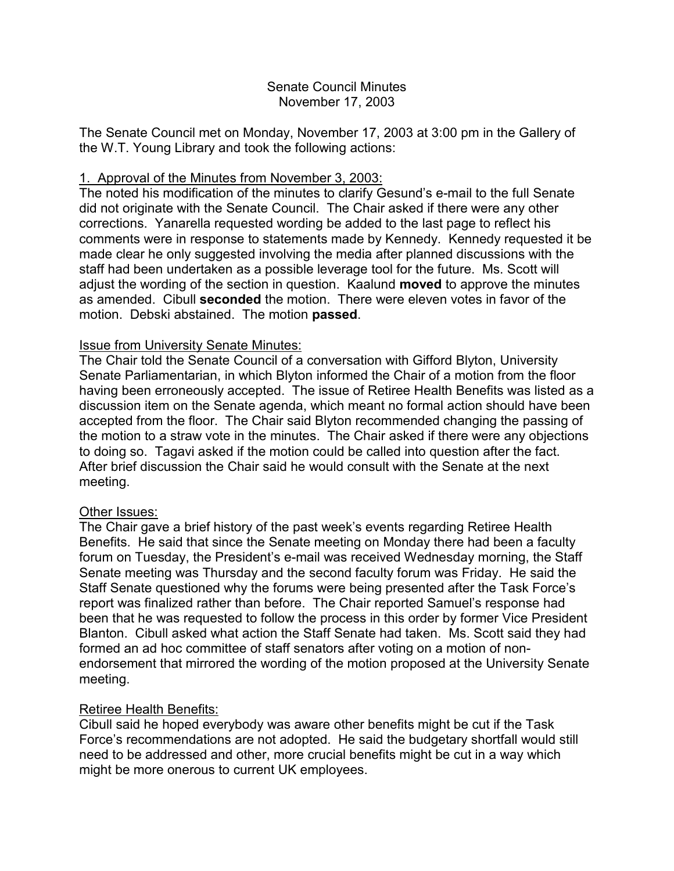### Senate Council Minutes November 17, 2003

The Senate Council met on Monday, November 17, 2003 at 3:00 pm in the Gallery of the W.T. Young Library and took the following actions:

### 1. Approval of the Minutes from November 3, 2003:

The noted his modification of the minutes to clarify Gesund's e-mail to the full Senate did not originate with the Senate Council. The Chair asked if there were any other corrections. Yanarella requested wording be added to the last page to reflect his comments were in response to statements made by Kennedy. Kennedy requested it be made clear he only suggested involving the media after planned discussions with the staff had been undertaken as a possible leverage tool for the future. Ms. Scott will adjust the wording of the section in question. Kaalund **moved** to approve the minutes as amended. Cibull **seconded** the motion. There were eleven votes in favor of the motion. Debski abstained. The motion **passed**.

### Issue from University Senate Minutes:

The Chair told the Senate Council of a conversation with Gifford Blyton, University Senate Parliamentarian, in which Blyton informed the Chair of a motion from the floor having been erroneously accepted. The issue of Retiree Health Benefits was listed as a discussion item on the Senate agenda, which meant no formal action should have been accepted from the floor. The Chair said Blyton recommended changing the passing of the motion to a straw vote in the minutes. The Chair asked if there were any objections to doing so. Tagavi asked if the motion could be called into question after the fact. After brief discussion the Chair said he would consult with the Senate at the next meeting.

### Other Issues:

The Chair gave a brief history of the past week's events regarding Retiree Health Benefits. He said that since the Senate meeting on Monday there had been a faculty forum on Tuesday, the President's e-mail was received Wednesday morning, the Staff Senate meeting was Thursday and the second faculty forum was Friday. He said the Staff Senate questioned why the forums were being presented after the Task Force's report was finalized rather than before. The Chair reported Samuel's response had been that he was requested to follow the process in this order by former Vice President Blanton. Cibull asked what action the Staff Senate had taken. Ms. Scott said they had formed an ad hoc committee of staff senators after voting on a motion of nonendorsement that mirrored the wording of the motion proposed at the University Senate meeting.

# Retiree Health Benefits:

Cibull said he hoped everybody was aware other benefits might be cut if the Task Force's recommendations are not adopted. He said the budgetary shortfall would still need to be addressed and other, more crucial benefits might be cut in a way which might be more onerous to current UK employees.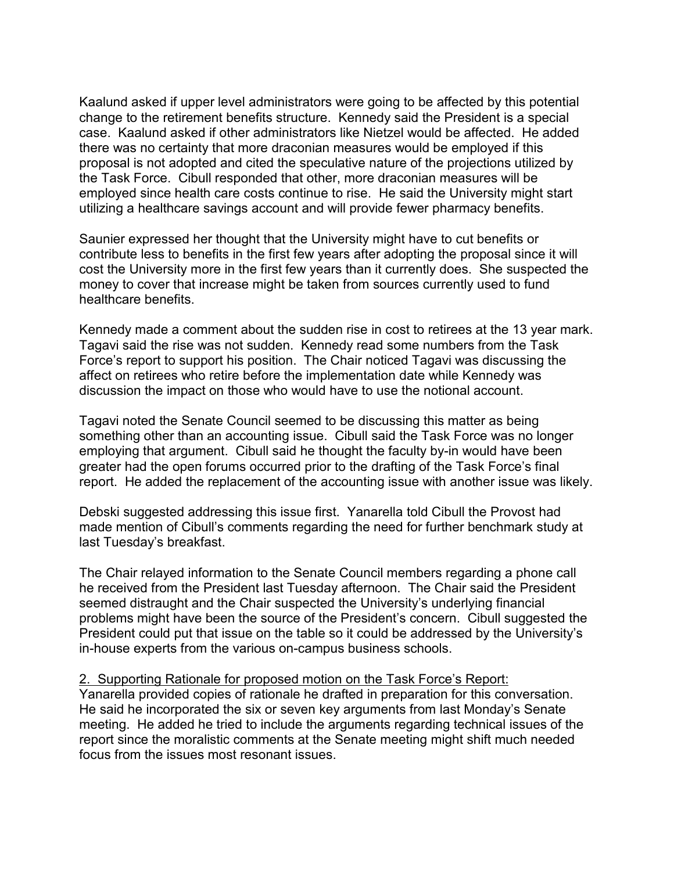Kaalund asked if upper level administrators were going to be affected by this potential change to the retirement benefits structure. Kennedy said the President is a special case. Kaalund asked if other administrators like Nietzel would be affected. He added there was no certainty that more draconian measures would be employed if this proposal is not adopted and cited the speculative nature of the projections utilized by the Task Force. Cibull responded that other, more draconian measures will be employed since health care costs continue to rise. He said the University might start utilizing a healthcare savings account and will provide fewer pharmacy benefits.

Saunier expressed her thought that the University might have to cut benefits or contribute less to benefits in the first few years after adopting the proposal since it will cost the University more in the first few years than it currently does. She suspected the money to cover that increase might be taken from sources currently used to fund healthcare benefits.

Kennedy made a comment about the sudden rise in cost to retirees at the 13 year mark. Tagavi said the rise was not sudden. Kennedy read some numbers from the Task Force's report to support his position. The Chair noticed Tagavi was discussing the affect on retirees who retire before the implementation date while Kennedy was discussion the impact on those who would have to use the notional account.

Tagavi noted the Senate Council seemed to be discussing this matter as being something other than an accounting issue. Cibull said the Task Force was no longer employing that argument. Cibull said he thought the faculty by-in would have been greater had the open forums occurred prior to the drafting of the Task Force's final report. He added the replacement of the accounting issue with another issue was likely.

Debski suggested addressing this issue first. Yanarella told Cibull the Provost had made mention of Cibull's comments regarding the need for further benchmark study at last Tuesday's breakfast.

The Chair relayed information to the Senate Council members regarding a phone call he received from the President last Tuesday afternoon. The Chair said the President seemed distraught and the Chair suspected the University's underlying financial problems might have been the source of the President's concern. Cibull suggested the President could put that issue on the table so it could be addressed by the University's in-house experts from the various on-campus business schools.

## 2. Supporting Rationale for proposed motion on the Task Force's Report:

Yanarella provided copies of rationale he drafted in preparation for this conversation. He said he incorporated the six or seven key arguments from last Monday's Senate meeting. He added he tried to include the arguments regarding technical issues of the report since the moralistic comments at the Senate meeting might shift much needed focus from the issues most resonant issues.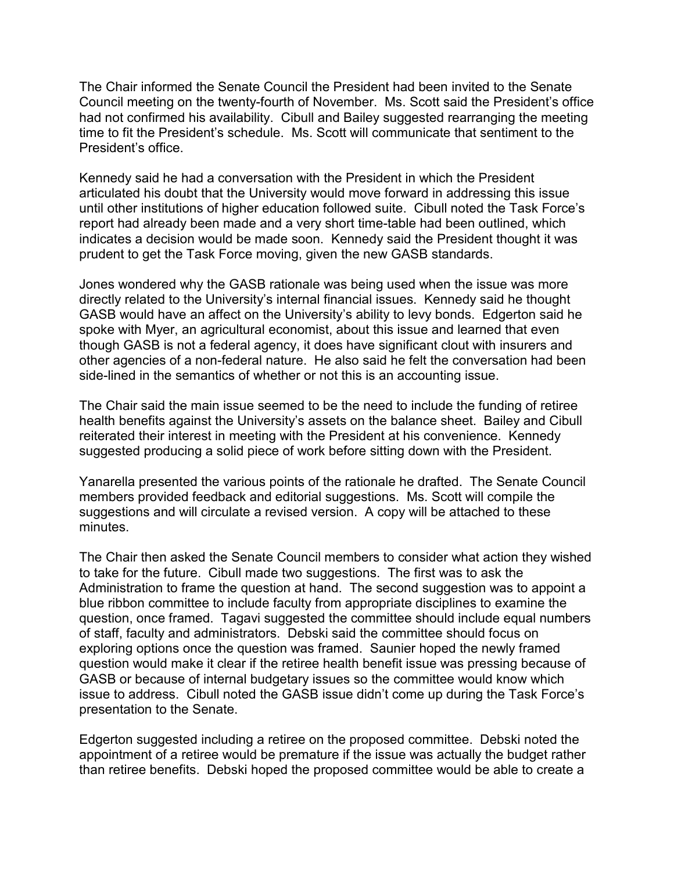The Chair informed the Senate Council the President had been invited to the Senate Council meeting on the twenty-fourth of November. Ms. Scott said the President's office had not confirmed his availability. Cibull and Bailey suggested rearranging the meeting time to fit the President's schedule. Ms. Scott will communicate that sentiment to the President's office.

Kennedy said he had a conversation with the President in which the President articulated his doubt that the University would move forward in addressing this issue until other institutions of higher education followed suite. Cibull noted the Task Force's report had already been made and a very short time-table had been outlined, which indicates a decision would be made soon. Kennedy said the President thought it was prudent to get the Task Force moving, given the new GASB standards.

Jones wondered why the GASB rationale was being used when the issue was more directly related to the University's internal financial issues. Kennedy said he thought GASB would have an affect on the University's ability to levy bonds. Edgerton said he spoke with Myer, an agricultural economist, about this issue and learned that even though GASB is not a federal agency, it does have significant clout with insurers and other agencies of a non-federal nature. He also said he felt the conversation had been side-lined in the semantics of whether or not this is an accounting issue.

The Chair said the main issue seemed to be the need to include the funding of retiree health benefits against the University's assets on the balance sheet. Bailey and Cibull reiterated their interest in meeting with the President at his convenience. Kennedy suggested producing a solid piece of work before sitting down with the President.

Yanarella presented the various points of the rationale he drafted. The Senate Council members provided feedback and editorial suggestions. Ms. Scott will compile the suggestions and will circulate a revised version. A copy will be attached to these minutes.

The Chair then asked the Senate Council members to consider what action they wished to take for the future. Cibull made two suggestions. The first was to ask the Administration to frame the question at hand. The second suggestion was to appoint a blue ribbon committee to include faculty from appropriate disciplines to examine the question, once framed. Tagavi suggested the committee should include equal numbers of staff, faculty and administrators. Debski said the committee should focus on exploring options once the question was framed. Saunier hoped the newly framed question would make it clear if the retiree health benefit issue was pressing because of GASB or because of internal budgetary issues so the committee would know which issue to address. Cibull noted the GASB issue didn't come up during the Task Force's presentation to the Senate.

Edgerton suggested including a retiree on the proposed committee. Debski noted the appointment of a retiree would be premature if the issue was actually the budget rather than retiree benefits. Debski hoped the proposed committee would be able to create a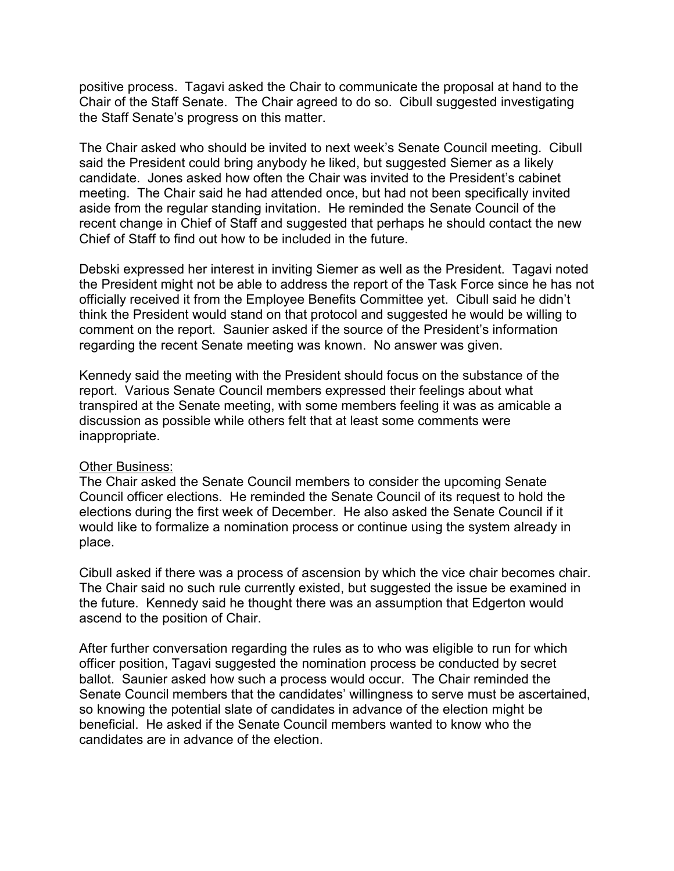positive process. Tagavi asked the Chair to communicate the proposal at hand to the Chair of the Staff Senate. The Chair agreed to do so. Cibull suggested investigating the Staff Senate's progress on this matter.

The Chair asked who should be invited to next week's Senate Council meeting. Cibull said the President could bring anybody he liked, but suggested Siemer as a likely candidate. Jones asked how often the Chair was invited to the President's cabinet meeting. The Chair said he had attended once, but had not been specifically invited aside from the regular standing invitation. He reminded the Senate Council of the recent change in Chief of Staff and suggested that perhaps he should contact the new Chief of Staff to find out how to be included in the future.

Debski expressed her interest in inviting Siemer as well as the President. Tagavi noted the President might not be able to address the report of the Task Force since he has not officially received it from the Employee Benefits Committee yet. Cibull said he didn't think the President would stand on that protocol and suggested he would be willing to comment on the report. Saunier asked if the source of the President's information regarding the recent Senate meeting was known. No answer was given.

Kennedy said the meeting with the President should focus on the substance of the report. Various Senate Council members expressed their feelings about what transpired at the Senate meeting, with some members feeling it was as amicable a discussion as possible while others felt that at least some comments were inappropriate.

### Other Business:

The Chair asked the Senate Council members to consider the upcoming Senate Council officer elections. He reminded the Senate Council of its request to hold the elections during the first week of December. He also asked the Senate Council if it would like to formalize a nomination process or continue using the system already in place.

Cibull asked if there was a process of ascension by which the vice chair becomes chair. The Chair said no such rule currently existed, but suggested the issue be examined in the future. Kennedy said he thought there was an assumption that Edgerton would ascend to the position of Chair.

After further conversation regarding the rules as to who was eligible to run for which officer position, Tagavi suggested the nomination process be conducted by secret ballot. Saunier asked how such a process would occur. The Chair reminded the Senate Council members that the candidates' willingness to serve must be ascertained, so knowing the potential slate of candidates in advance of the election might be beneficial. He asked if the Senate Council members wanted to know who the candidates are in advance of the election.